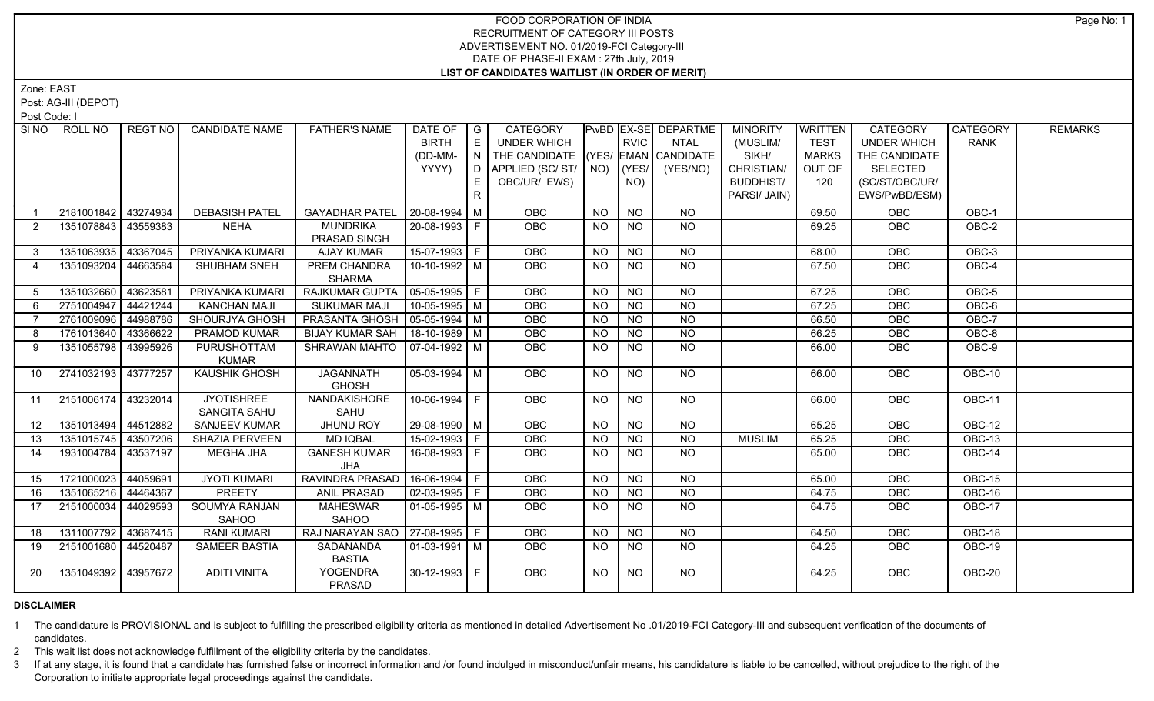## FOOD CORPORATION OF INDIA RECRUITMENT OF CATEGORY III POSTS ADVERTISEMENT NO. 01/2019-FCI Category-III DATE OF PHASE-II EXAM : 27th July, 2019 **LIST OF CANDIDATES WAITLIST (IN ORDER OF MERIT)**

Zone: EAST

Post: AG-III (DEPOT)

Post Code: I

| SI <sub>NO</sub> | ROLL NO             | REGT NO  | <b>CANDIDATE NAME</b> | <b>FATHER'S NAME</b>             | DATE OF $ G $                |                                    | <b>CATEGORY</b>                    |                | <b>RVIC</b>     | <b>PwBD EX-SE DEPARTME</b> | <b>MINORITY</b>                  | <b>WRITTEN</b> | <b>CATEGORY</b>                 | CATEGORY      | <b>REMARKS</b> |
|------------------|---------------------|----------|-----------------------|----------------------------------|------------------------------|------------------------------------|------------------------------------|----------------|-----------------|----------------------------|----------------------------------|----------------|---------------------------------|---------------|----------------|
|                  |                     |          |                       |                                  | <b>BIRTH</b>                 | E                                  | UNDER WHICH                        |                |                 | <b>NTAL</b>                | (MUSLIM/                         | <b>TEST</b>    | <b>UNDER WHICH</b>              | <b>RANK</b>   |                |
|                  |                     |          |                       |                                  | (DD-MM-<br>YYYY)             | $\mathsf{L} \mathsf{N} \mathsf{L}$ | THE CANDIDATE (YES/ EMAN CANDIDATE |                |                 |                            | SIKH/<br>CHRISTIAN/              | <b>MARKS</b>   | THE CANDIDATE<br>SELECTED       |               |                |
|                  |                     |          |                       |                                  |                              |                                    | D APPLIED (SC/ ST/ NO)             |                | (YES/           | (YES/NO)                   |                                  | OUT OF         |                                 |               |                |
|                  |                     |          |                       |                                  |                              | E.<br>R.                           | OBC/UR/ EWS)                       |                | NO)             |                            | <b>BUDDHIST/</b><br>PARSI/ JAIN) | 120            | (SC/ST/OBC/UR/<br>EWS/PwBD/ESM) |               |                |
|                  |                     |          |                       |                                  |                              |                                    |                                    |                |                 |                            |                                  |                |                                 |               |                |
|                  | 2181001842          | 43274934 | <b>DEBASISH PATEL</b> | <b>GAYADHAR PATEL</b>            | 20-08-1994 M                 |                                    | OBC                                | <b>NO</b>      | <b>NO</b>       | <b>NO</b>                  |                                  | 69.50          | OBC                             | OBC-1         |                |
| $\overline{2}$   | 1351078843          | 43559383 | <b>NEHA</b>           | <b>MUNDRIKA</b>                  | 20-08-1993 F                 |                                    | OBC                                | <b>NO</b>      | NO.             | NO.                        |                                  | 69.25          | <b>OBC</b>                      | OBC-2         |                |
|                  |                     |          |                       | PRASAD SINGH                     |                              |                                    |                                    |                |                 |                            |                                  |                |                                 |               |                |
| $\mathbf{3}$     | 1351063935          | 43367045 | PRIYANKA KUMARI       | <b>AJAY KUMAR</b>                | 15-07-1993 F                 |                                    | <b>OBC</b>                         | <b>NO</b>      | <b>NO</b>       | <b>NO</b>                  |                                  | 68.00          | OBC                             | OBC-3         |                |
| $\overline{4}$   | 1351093204          | 44663584 | SHUBHAM SNEH          | PREM CHANDRA                     | 10-10-1992   M               |                                    | <b>OBC</b>                         | <b>NO</b>      | <b>NO</b>       | <b>NO</b>                  |                                  | 67.50          | OBC                             | OBC-4         |                |
|                  |                     |          |                       | <b>SHARMA</b>                    |                              |                                    |                                    |                |                 |                            |                                  |                |                                 |               |                |
| 5                | 1351032660          | 43623581 | PRIYANKA KUMARI       | <b>RAJKUMAR GUPTA</b>            | 05-05-1995 F                 |                                    | OBC                                | N <sub>O</sub> | $\overline{NO}$ | $\overline{NO}$            |                                  | 67.25          | OBC                             | $OBC-5$       |                |
| 6                | 2751004947 44421244 |          | <b>KANCHAN MAJI</b>   | <b>SUKUMAR MAJI</b>              | $10-05-1995$ M               |                                    | OBC                                | <b>NO</b>      | $\overline{NO}$ | $\overline{NQ}$            |                                  | 67.25          | OBC                             | $OBC-6$       |                |
|                  | 2761009096          | 44988786 | SHOURJYA GHOSH        | PRASANTA GHOSH                   | $\vert$ 05-05-1994 $\vert$ M |                                    | OBC                                | <b>NO</b>      | <b>NO</b>       | <b>NO</b>                  |                                  | 66.50          | OBC                             | OBC-7         |                |
| 8                | 1761013640          | 43366622 | PRAMOD KUMAR          | <b>BIJAY KUMAR SAH</b>           | 18-10-1989   M               |                                    | OBC                                | <b>NO</b>      | <b>NO</b>       | <b>NO</b>                  |                                  | 66.25          | OBC                             | OBC-8         |                |
| 9                | 1351055798          | 43995926 | PURUSHOTTAM           | SHRAWAN MAHTO                    | 07-04-1992   M               |                                    | <b>OBC</b>                         | <b>NO</b>      | <b>NO</b>       | $\overline{NQ}$            |                                  | 66.00          | OBC                             | $OBC-9$       |                |
|                  |                     |          | <b>KUMAR</b>          |                                  |                              |                                    |                                    |                |                 |                            |                                  |                |                                 |               |                |
| 10               | 2741032193 43777257 |          | <b>KAUSHIK GHOSH</b>  | <b>JAGANNATH</b>                 | $\boxed{05 - 03 - 1994}$ M   |                                    | OBC                                | <b>NO</b>      | <b>NO</b>       | NO                         |                                  | 66.00          | OBC                             | <b>OBC-10</b> |                |
|                  |                     |          |                       | <b>GHOSH</b>                     |                              |                                    |                                    |                |                 |                            |                                  |                |                                 |               |                |
| 11               | 2151006174 43232014 |          | <b>JYOTISHREE</b>     | <b>NANDAKISHORE</b>              | $10-06-1994$ F               |                                    | <b>OBC</b>                         | <b>NO</b>      | <b>NO</b>       | NO                         |                                  | 66.00          | OBC                             | OBC-11        |                |
|                  |                     |          | SANGITA SAHU          | SAHU                             |                              |                                    |                                    |                |                 |                            |                                  |                |                                 |               |                |
| 12               | 1351013494 44512882 |          | SANJEEV KUMAR         | JHUNU ROY                        | $29-08-1990$ M               |                                    | <b>OBC</b>                         | <b>NO</b>      | <b>NO</b>       | <b>NO</b>                  |                                  | 65.25          | OBC                             | <b>OBC-12</b> |                |
| 13               | 1351015745 43507206 |          | SHAZIA PERVEEN        | <b>MD IQBAL</b>                  | $15-02-1993$ F               |                                    | <b>OBC</b>                         | <b>NO</b>      | <b>NO</b>       | <b>NO</b>                  | <b>MUSLIM</b>                    | 65.25          | OBC                             | OBC-13        |                |
| 14               | 1931004784          | 43537197 | MEGHA JHA             | <b>GANESH KUMAR</b>              | 16-08-1993 F                 |                                    | <b>OBC</b>                         | <b>NO</b>      | <b>NO</b>       | <b>NO</b>                  |                                  | 65.00          | OBC                             | <b>OBC-14</b> |                |
|                  |                     |          |                       | JHA                              |                              |                                    |                                    |                |                 |                            |                                  |                |                                 |               |                |
| 15               | 1721000023 44059691 |          | <b>JYOTI KUMARI</b>   | RAVINDRA PRASAD                  | $16-06-1994$ F               |                                    | <b>OBC</b>                         | <b>NO</b>      | <b>NO</b>       | <b>NO</b>                  |                                  | 65.00          | OBC                             | OBC-15        |                |
| 16               | 1351065216 44464367 |          | <b>PREETY</b>         | <b>ANIL PRASAD</b>               | 02-03-1995 F                 |                                    | <b>OBC</b>                         | <b>NO</b>      | <b>NO</b>       | <b>NO</b>                  |                                  | 64.75          | OBC                             | OBC-16        |                |
| 17               | 2151000034          | 44029593 | SOUMYA RANJAN         | <b>MAHESWAR</b>                  | $01-05-1995$ M               |                                    | <b>OBC</b>                         | <b>NO</b>      | <b>NO</b>       | NO                         |                                  | 64.75          | OBC                             | OBC-17        |                |
|                  |                     |          | <b>SAHOO</b>          | SAHOO                            |                              |                                    |                                    |                |                 |                            |                                  |                |                                 |               |                |
| 18               | 1311007792 43687415 |          | <b>RANI KUMARI</b>    | RAJ NARAYAN SAO   27-08-1995   F |                              |                                    | OBC                                | <b>NO</b>      | <b>NO</b>       | <b>NO</b>                  |                                  | 64.50          | OBC                             | $OBC-18$      |                |
| 19               | 2151001680 44520487 |          | <b>SAMEER BASTIA</b>  | SADANANDA                        | l 01-03-1991 l M             |                                    | OBC                                | NO.            | NO.             | NO                         |                                  | 64.25          | <b>OBC</b>                      | OBC-19        |                |
|                  |                     |          |                       | <b>BASTIA</b>                    |                              |                                    |                                    |                |                 |                            |                                  |                |                                 |               |                |
| 20               | 1351049392 43957672 |          | <b>ADITI VINITA</b>   | <b>YOGENDRA</b>                  | $30-12-1993$ F               |                                    | <b>OBC</b>                         | NO.            | <b>NO</b>       | NO.                        |                                  | 64.25          | OBC                             | $OBC-20$      |                |
|                  |                     |          |                       | PRASAD                           |                              |                                    |                                    |                |                 |                            |                                  |                |                                 |               |                |

## **DISCLAIMER**

1 The candidature is PROVISIONAL and is subject to fulfilling the prescribed eligibility criteria as mentioned in detailed Advertisement No .01/2019-FCI Category-III and subsequent verification of the documents of candidates.

2 This wait list does not acknowledge fulfillment of the eligibility criteria by the candidates.

3 If at any stage, it is found that a candidate has furnished false or incorrect information and /or found indulged in misconduct/unfair means, his candidature is liable to be cancelled, without prejudice to the right of t Corporation to initiate appropriate legal proceedings against the candidate.

Page No: 1